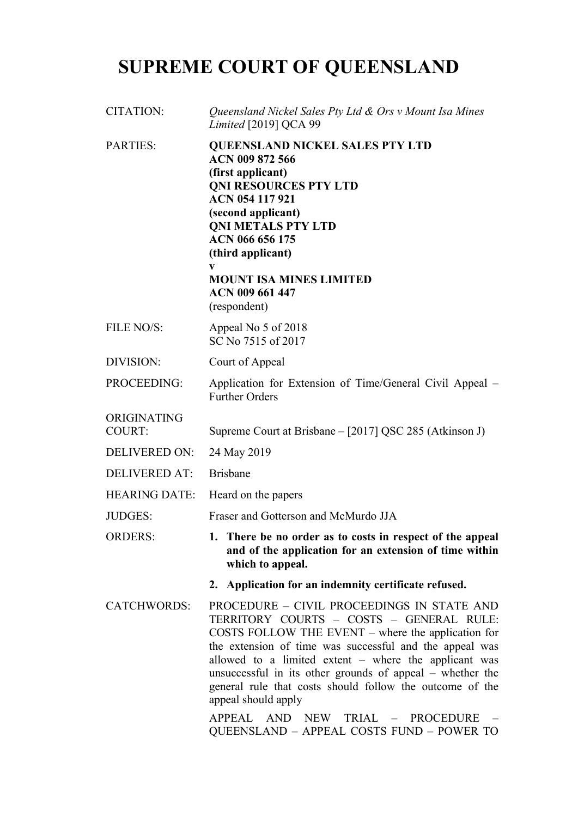# **SUPREME COURT OF QUEENSLAND**

| <b>CITATION:</b>             | Queensland Nickel Sales Pty Ltd & Ors v Mount Isa Mines<br><i>Limited</i> [2019] QCA 99                                                                                                                                                                                                                                                                                                                                                                                                           |
|------------------------------|---------------------------------------------------------------------------------------------------------------------------------------------------------------------------------------------------------------------------------------------------------------------------------------------------------------------------------------------------------------------------------------------------------------------------------------------------------------------------------------------------|
| <b>PARTIES:</b>              | <b>QUEENSLAND NICKEL SALES PTY LTD</b><br>ACN 009 872 566<br>(first applicant)<br><b>QNI RESOURCES PTY LTD</b><br>ACN 054 117 921<br>(second applicant)<br><b>QNI METALS PTY LTD</b><br>ACN 066 656 175<br>(third applicant)<br>V<br><b>MOUNT ISA MINES LIMITED</b><br>ACN 009 661 447<br>(respondent)                                                                                                                                                                                            |
| FILE NO/S:                   | Appeal No 5 of 2018<br>SC No 7515 of 2017                                                                                                                                                                                                                                                                                                                                                                                                                                                         |
| DIVISION:                    | Court of Appeal                                                                                                                                                                                                                                                                                                                                                                                                                                                                                   |
| PROCEEDING:                  | Application for Extension of Time/General Civil Appeal –<br><b>Further Orders</b>                                                                                                                                                                                                                                                                                                                                                                                                                 |
| ORIGINATING<br><b>COURT:</b> | Supreme Court at Brisbane - [2017] QSC 285 (Atkinson J)                                                                                                                                                                                                                                                                                                                                                                                                                                           |
| <b>DELIVERED ON:</b>         | 24 May 2019                                                                                                                                                                                                                                                                                                                                                                                                                                                                                       |
| <b>DELIVERED AT:</b>         | <b>Brisbane</b>                                                                                                                                                                                                                                                                                                                                                                                                                                                                                   |
| <b>HEARING DATE:</b>         | Heard on the papers                                                                                                                                                                                                                                                                                                                                                                                                                                                                               |
| <b>JUDGES:</b>               | Fraser and Gotterson and McMurdo JJA                                                                                                                                                                                                                                                                                                                                                                                                                                                              |
| <b>ORDERS:</b>               | 1. There be no order as to costs in respect of the appeal<br>and of the application for an extension of time within<br>which to appeal.                                                                                                                                                                                                                                                                                                                                                           |
|                              | 2. Application for an indemnity certificate refused.                                                                                                                                                                                                                                                                                                                                                                                                                                              |
| <b>CATCHWORDS:</b>           | PROCEDURE - CIVIL PROCEEDINGS IN STATE AND<br>TERRITORY COURTS - COSTS - GENERAL RULE:<br>COSTS FOLLOW THE EVENT – where the application for<br>the extension of time was successful and the appeal was<br>allowed to a limited extent – where the applicant was<br>unsuccessful in its other grounds of appeal – whether the<br>general rule that costs should follow the outcome of the<br>appeal should apply<br>APPEAL AND NEW TRIAL - PROCEDURE<br>QUEENSLAND - APPEAL COSTS FUND - POWER TO |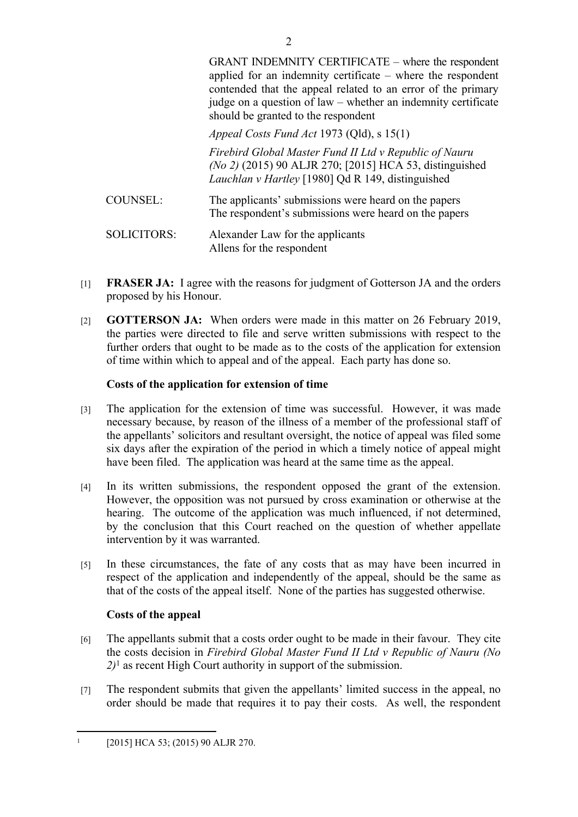GRANT INDEMNITY CERTIFICATE – where the respondent applied for an indemnity certificate – where the respondent contended that the appeal related to an error of the primary judge on a question of law – whether an indemnity certificate should be granted to the respondent

*Appeal Costs Fund Act* 1973 (Qld), s 15(1)

*Firebird Global Master Fund II Ltd v Republic of Nauru (No 2)* (2015) 90 ALJR 270; [2015] HCA 53, distinguished *Lauchlan v Hartley* [1980] Qd R 149, distinguished

- COUNSEL: The applicants' submissions were heard on the papers The respondent's submissions were heard on the papers
- SOLICITORS: Alexander Law for the applicants Allens for the respondent
- [1] **FRASER JA:** I agree with the reasons for judgment of Gotterson JA and the orders proposed by his Honour.
- [2] **GOTTERSON JA:** When orders were made in this matter on 26 February 2019, the parties were directed to file and serve written submissions with respect to the further orders that ought to be made as to the costs of the application for extension of time within which to appeal and of the appeal. Each party has done so.

### **Costs of the application for extension of time**

- [3] The application for the extension of time was successful. However, it was made necessary because, by reason of the illness of a member of the professional staff of the appellants' solicitors and resultant oversight, the notice of appeal was filed some six days after the expiration of the period in which a timely notice of appeal might have been filed. The application was heard at the same time as the appeal.
- [4] In its written submissions, the respondent opposed the grant of the extension. However, the opposition was not pursued by cross examination or otherwise at the hearing. The outcome of the application was much influenced, if not determined, by the conclusion that this Court reached on the question of whether appellate intervention by it was warranted.
- [5] In these circumstances, the fate of any costs that as may have been incurred in respect of the application and independently of the appeal, should be the same as that of the costs of the appeal itself. None of the parties has suggested otherwise.

# **Costs of the appeal**

- [6] The appellants submit that a costs order ought to be made in their favour. They cite the costs decision in *Firebird Global Master Fund II Ltd v Republic of Nauru (No 2)*<sup>1</sup> as recent High Court authority in support of the submission.
- [7] The respondent submits that given the appellants' limited success in the appeal, no order should be made that requires it to pay their costs. As well, the respondent

<sup>1</sup> [2015] HCA 53; (2015) 90 ALJR 270.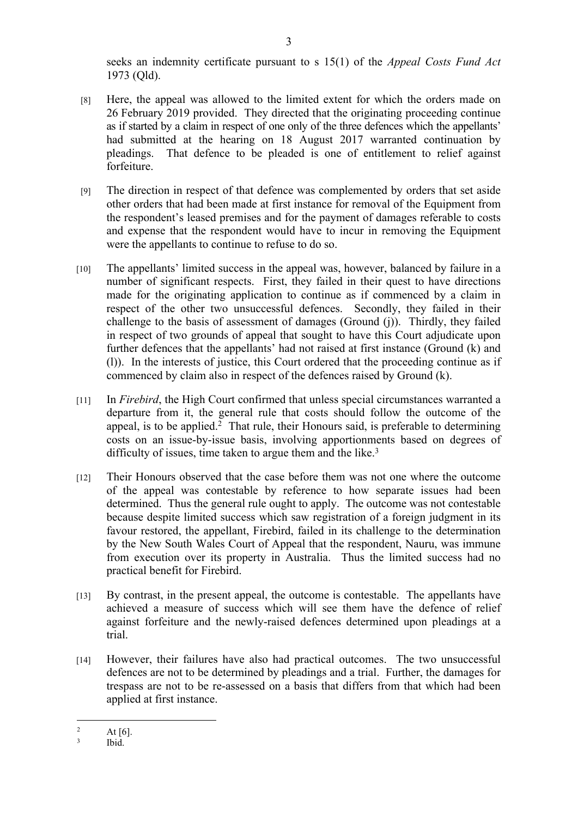seeks an indemnity certificate pursuant to s 15(1) of the *Appeal Costs Fund Act* 1973 (Qld).

- [8] Here, the appeal was allowed to the limited extent for which the orders made on 26 February 2019 provided. They directed that the originating proceeding continue as if started by a claim in respect of one only of the three defences which the appellants' had submitted at the hearing on 18 August 2017 warranted continuation by pleadings. That defence to be pleaded is one of entitlement to relief against forfeiture.
- [9] The direction in respect of that defence was complemented by orders that set aside other orders that had been made at first instance for removal of the Equipment from the respondent's leased premises and for the payment of damages referable to costs and expense that the respondent would have to incur in removing the Equipment were the appellants to continue to refuse to do so.
- [10] The appellants' limited success in the appeal was, however, balanced by failure in a number of significant respects. First, they failed in their quest to have directions made for the originating application to continue as if commenced by a claim in respect of the other two unsuccessful defences. Secondly, they failed in their challenge to the basis of assessment of damages (Ground (j)). Thirdly, they failed in respect of two grounds of appeal that sought to have this Court adjudicate upon further defences that the appellants' had not raised at first instance (Ground (k) and (l)). In the interests of justice, this Court ordered that the proceeding continue as if commenced by claim also in respect of the defences raised by Ground (k).
- [11] In *Firebird*, the High Court confirmed that unless special circumstances warranted a departure from it, the general rule that costs should follow the outcome of the appeal, is to be applied.<sup>2</sup> That rule, their Honours said, is preferable to determining costs on an issue-by-issue basis, involving apportionments based on degrees of difficulty of issues, time taken to argue them and the like.<sup>3</sup>
- [12] Their Honours observed that the case before them was not one where the outcome of the appeal was contestable by reference to how separate issues had been determined. Thus the general rule ought to apply. The outcome was not contestable because despite limited success which saw registration of a foreign judgment in its favour restored, the appellant, Firebird, failed in its challenge to the determination by the New South Wales Court of Appeal that the respondent, Nauru, was immune from execution over its property in Australia. Thus the limited success had no practical benefit for Firebird.
- [13] By contrast, in the present appeal, the outcome is contestable. The appellants have achieved a measure of success which will see them have the defence of relief against forfeiture and the newly-raised defences determined upon pleadings at a trial.
- [14] However, their failures have also had practical outcomes. The two unsuccessful defences are not to be determined by pleadings and a trial. Further, the damages for trespass are not to be re-assessed on a basis that differs from that which had been applied at first instance.

<sup>2</sup> At [6].

<sup>3</sup> Ibid.